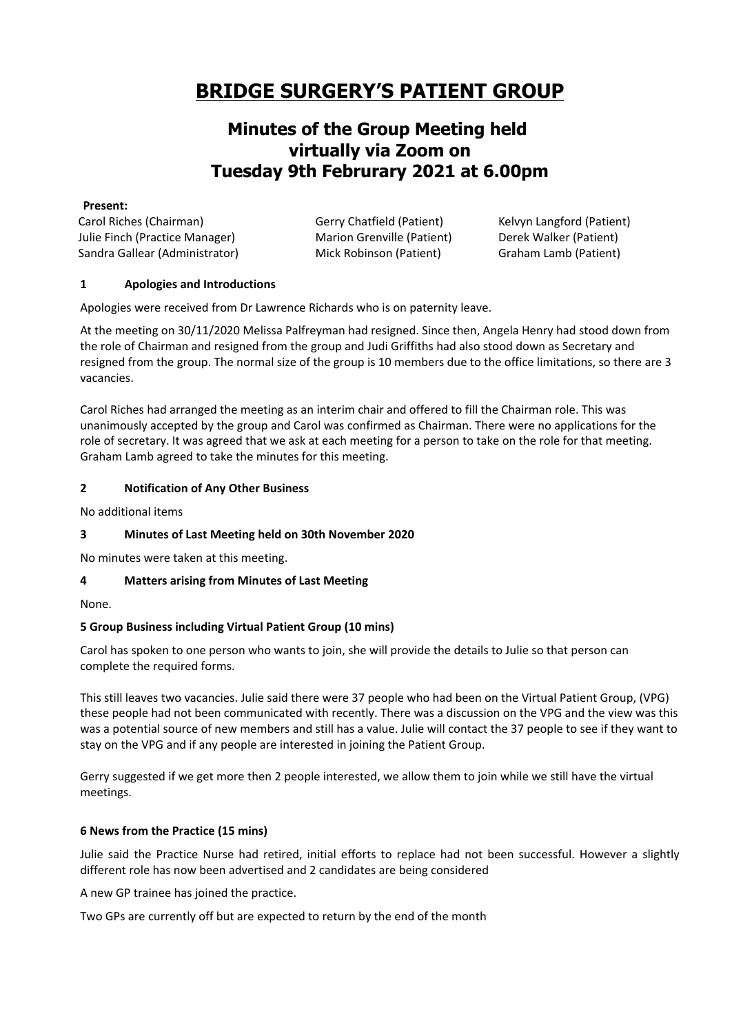# **BRIDGE SURGERY'S PATIENT GROUP**

# **Minutes of the Group Meeting held virtually via Zoom on Tuesday 9th Februrary 2021 at 6.00pm**

#### **Present:**

Carol Riches (Chairman) Julie Finch (Practice Manager) Sandra Gallear (Administrator) Gerry Chatfield (Patient) Marion Grenville (Patient) Mick Robinson (Patient)

Kelvyn Langford (Patient) Derek Walker (Patient) Graham Lamb (Patient)

# **1 Apologies and Introductions**

Apologies were received from Dr Lawrence Richards who is on paternity leave.

At the meeting on 30/11/2020 Melissa Palfreyman had resigned. Since then, Angela Henry had stood down from the role of Chairman and resigned from the group and Judi Griffiths had also stood down as Secretary and resigned from the group. The normal size of the group is 10 members due to the office limitations, so there are 3 vacancies.

Carol Riches had arranged the meeting as an interim chair and offered to fill the Chairman role. This was unanimously accepted by the group and Carol was confirmed as Chairman. There were no applications for the role of secretary. It was agreed that we ask at each meeting for a person to take on the role for that meeting. Graham Lamb agreed to take the minutes for this meeting.

# **2 Notification of Any Other Business**

No additional items

# **3 Minutes of Last Meeting held on 30th November 2020**

No minutes were taken at this meeting.

# **4 Matters arising from Minutes of Last Meeting**

None.

# **5 Group Business including Virtual Patient Group (10 mins)**

Carol has spoken to one person who wants to join, she will provide the details to Julie so that person can complete the required forms.

This still leaves two vacancies. Julie said there were 37 people who had been on the Virtual Patient Group, (VPG) these people had not been communicated with recently. There was a discussion on the VPG and the view was this was a potential source of new members and still has a value. Julie will contact the 37 people to see if they want to stay on the VPG and if any people are interested in joining the Patient Group.

Gerry suggested if we get more then 2 people interested, we allow them to join while we still have the virtual meetings.

# **6 News from the Practice (15 mins)**

Julie said the Practice Nurse had retired, initial efforts to replace had not been successful. However a slightly different role has now been advertised and 2 candidates are being considered

A new GP trainee has joined the practice.

Two GPs are currently off but are expected to return by the end of the month